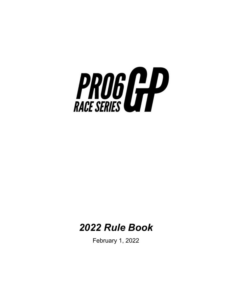

# *2022 Rule Book*

February 1, 2022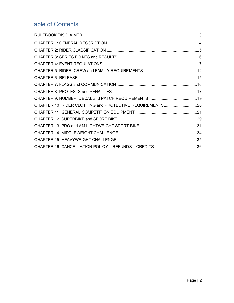# Table of Contents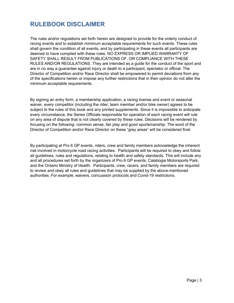## <span id="page-2-0"></span>**RULEBOOK DISCLAIMER**

The rules and/or regulations set forth herein are designed to provide for the orderly conduct of racing events and to establish minimum acceptable requirements for such events. These rules shall govern the condition of all events, and by participating in these events all participants are deemed to have complied with these rules. NO EXPRESS OR IMPLIED WARRANTY OF SAFETY SHALL RESULT FROM PUBLICATIONS OF, OR COMPLIANCE WITH THESE RULES AND/OR REGULATIONS. They are intended as a guide for the conduct of the sport and are in no way a guarantee against injury or death to a participant, spectator or official. The Director of Competition and/or Race Director shall be empowered to permit deviations from any of the specifications herein or impose any further restrictions that in their opinion do not alter the minimum acceptable requirements.

By signing an entry form, a membership application, a racing license and event or seasonal waiver, every competitor (including the rider, team member and/or bike owner) agrees to be subject to the rules of this book and any printed supplements. Since it is impossible to anticipate every circumstance, the Series Officials responsible for operation of each racing event will rule on any area of dispute that is not clearly covered by these rules. Decisions will be rendered by focusing on the following: common sense, fair play and good sportsmanship. The word of the Director of Competition and/or Race Director on these "grey areas" will be considered final.

By participating at Pro 6 GP events, riders, crew and family members acknowledge the inherent risk involved in motorcycle road racing activities. Participants will be required to obey and follow all guidelines, rules and regulations, relating to health and safety standards. This will include any and all procedures set forth by the organizers of Pro 6 GP events; Calabogie Motorsports Park; and the Ontario Ministry of Health. Participants, crew, racers, and family members are required to review and obey all rules and guidelines that may be supplied by the above-mentioned authorities. For example, waivers, concussion protocols and Covid-19 restrictions.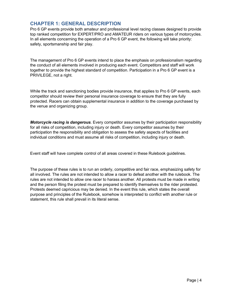### <span id="page-3-0"></span>**CHAPTER 1: GENERAL DESCRIPTION**

Pro 6 GP events provide both amateur and professional level racing classes designed to provide top ranked competition for EXPERT/PRO and AMATEUR riders on various types of motorcycles. In all elements concerning the operation of a Pro 6 GP event, the following will take priority: safety, sportsmanship and fair play.

The management of Pro 6 GP events intend to place the emphasis on professionalism regarding the conduct of all elements involved in producing each event. Competitors and staff will work together to provide the highest standard of competition. Participation in a Pro 6 GP event is a PRIVILEGE, not a right.

While the track and sanctioning bodies provide insurance, that applies to Pro 6 GP events, each competitor should review their personal insurance coverage to ensure that they are fully protected. Racers can obtain supplemental insurance in addition to the coverage purchased by the venue and organizing group.

*Motorcycle racing is dangerous*. Every competitor assumes by their participation responsibility for all risks of competition, including injury or death. Every competitor assumes by their participation the responsibility and obligation to assess the safety aspects of facilities and individual conditions and must assume all risks of competition, including injury or death.

Event staff will have complete control of all areas covered in these Rulebook guidelines.

The purpose of these rules is to run an orderly, competitive and fair race, emphasizing safety for all involved. The rules are not intended to allow a racer to defeat another with the rulebook. The rules are not intended to allow one racer to harass another. All protests must be made in writing and the person filing the protest must be prepared to identify themselves to the rider protested. Protests deemed capricious may be denied. In the event this rule, which states the overall purpose and principles of the Rulebook, somehow is interpreted to conflict with another rule or statement, this rule shall prevail in its literal sense.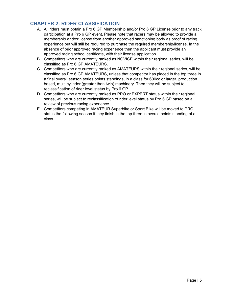### <span id="page-4-0"></span>**CHAPTER 2: RIDER CLASSIFICATION**

- A. All riders must obtain a Pro 6 GP Membership and/or Pro 6 GP License prior to any track participation at a Pro 6 GP event. Please note that racers may be allowed to provide a membership and/or license from another approved sanctioning body as proof of racing experience but will still be required to purchase the required membership/license. In the absence of prior approved racing experience then the applicant must provide an approved racing school certificate, with their license application.
- B. Competitors who are currently ranked as NOVICE within their regional series, will be classified as Pro 6 GP AMATEURS.
- C. Competitors who are currently ranked as AMATEURS within their regional series, will be classified as Pro 6 GP AMATEURS, unless that competitor has placed in the top three in a final overall season series points standings, in a class for 600cc or larger, production based, multi cylinder (greater than twin) machinery. Then they will be subject to reclassification of rider level status by Pro 6 GP.
- D. Competitors who are currently ranked as PRO or EXPERT status within their regional series, will be subject to reclassification of rider level status by Pro 6 GP based on a review of previous racing experience.
- E. Competitors competing in AMATEUR Superbike or Sport Bike will be moved to PRO status the following season if they finish in the top three in overall points standing of a class.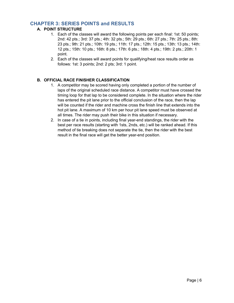### <span id="page-5-0"></span>**CHAPTER 3: SERIES POINTS and RESULTS**

#### **A. POINT STRUCTURE**

- 1. Each of the classes will award the following points per each final: 1st: 50 points; 2nd: 42 pts.; 3rd: 37 pts.; 4th: 32 pts.; 5th: 29 pts.; 6th: 27 pts.; 7th: 25 pts.; 8th: 23 pts.; 9th: 21 pts.; 10th: 19 pts.; 11th: 17 pts.; 12th: 15 pts.; 13th: 13 pts.; 14th: 12 pts.; 15th: 10 pts.; 16th: 8 pts.; 17th: 6 pts.; 18th: 4 pts.; 19th: 2 pts.; 20th: 1 point.
- 2. Each of the classes will award points for qualifying/heat race results order as follows: 1st: 3 points; 2nd: 2 pts; 3rd: 1 point.

#### **B. OFFICIAL RACE FINISHER CLASSIFICATION**

- 1. A competitor may be scored having only completed a portion of the number of laps of the original scheduled race distance. A competitor must have crossed the timing loop for that lap to be considered complete. In the situation where the rider has entered the pit lane prior to the official conclusion of the race, then the lap will be counted if the rider and machine cross the finish line that extends into the hot pit lane. A maximum of 10 km per hour pit lane speed must be observed at all times. The rider may push their bike in this situation if necessary.
- 2. In case of a tie in points, including final year-end standings, the rider with the best per race results (starting with 1sts, 2nds, etc.) will be ranked ahead. If this method of tie breaking does not separate the tie, then the rider with the best result in the final race will get the better year-end position.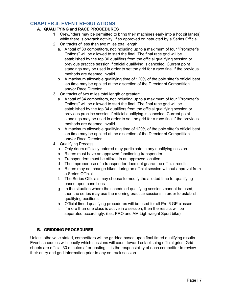### <span id="page-6-0"></span>**CHAPTER 4: EVENT REGULATIONS**

#### **A. QUALIFYING and RACE PROCEDURES**

- 1. Crew/riders may be permitted to bring their machines early into a hot pit lane(s) while there is on-track activity, if so approved or instructed by a Series Official.
- 2. On tracks of less than two miles total length:
	- a. A total of 30 competitors, not including up to a maximum of four "Promoter's Options" will be allowed to start the final. The final race grid will be established by the top 30 qualifiers from the official qualifying session or previous practice session if official qualifying is canceled. Current point standings may be used in order to set the grid for a race final if the previous methods are deemed invalid.
	- b. A maximum allowable qualifying time of 120% of the pole sitter's official best lap time may be applied at the discretion of the Director of Competition and/or Race Director.
- 3. On tracks of two miles total length or greater:
	- a. A total of 34 competitors, not including up to a maximum of four "Promoter's Options" will be allowed to start the final. The final race grid will be established by the top 34 qualifiers from the official qualifying session or previous practice session if official qualifying is canceled. Current point standings may be used in order to set the grid for a race final if the previous methods are deemed invalid.
	- b. A maximum allowable qualifying time of 120% of the pole sitter's official best lap time may be applied at the discretion of the Director of Competition and/or Race Director.
- 4. Qualifying Process
	- a. Only riders officially entered may participate in any qualifying session.
	- b. Riders must have an approved functioning transponder.
	- c. Transponders must be affixed in an approved location.
	- d. The improper use of a transponder does not guarantee official results.
	- e. Riders may not change bikes during an official session without approval from a Series Official.
	- f. The Series Officials may choose to modify the allotted time for qualifying based upon conditions.
	- g. In the situation where the scheduled qualifying sessions cannot be used, then the series may use the morning practice sessions in order to establish qualifying positions.
	- h. Official timed qualifying procedures will be used for all Pro 6 GP classes.
	- i. If more than one class is active in a session, then the results will be separated accordingly. (i.e., PRO and AM Lightweight Sport bike)

#### **B. GRIDDING PROCEDURES**

Unless otherwise stated, competitors will be gridded based upon final timed qualifying results. Event schedules will specify which sessions will count toward establishing official grids. Grid sheets are official 30 minutes after posting; it is the responsibility of each competitor to review their entry and grid information prior to any on track session.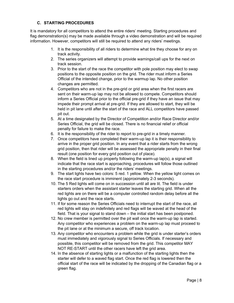#### **C. STARTING PROCEDURES**

It is mandatory for all competitors to attend the entire riders' meeting. Starting procedures and flag demonstration(s) may be made available through a video demonstration and will be required information. However, competitors will still be required to attend any riders' meetings.

- 1. It is the responsibility of all riders to determine what tire they choose for any on track activity.
- 2. The series organizers will attempt to provide warnings/call ups for the next on track session.
- 3. Prior to the start of the race the competitor with pole position may elect to swap positions to the opposite position on the grid. The rider must inform a Series Official of the intended change, prior to the warmup lap. No other position changes are permitted.
- 4. Competitors who are not in the pre-grid or grid area when the first racers are sent on their warm-up lap may not be allowed to compete. Competitors should inform a Series Official prior to the official pre-grid if they have an issue that may impede their prompt arrival at pre-grid. If they are allowed to start, they will be held in pit lane until after the start of the race and ALL competitors have passed pit out.
- 5. At a time designated by the Director of Competition and/or Race Director and/or Series Official, the grid will be closed. There is no financial relief or official penalty for failure to make the race.
- 6. It is the responsibility of the rider to report to pre-grid in a timely manner.
- 7. Once competitors have completed their warm-up lap it is their responsibility to arrive in the proper grid position. In any event that a rider starts from the wrong grid position, then that rider will be assessed the appropriate penalty in their final result (one position for every grid position out of place).
- 8. When the field is lined up properly following the warm-up lap(s), a signal will indicate that the race start is approaching, procedures will follow those outlined in the starting procedures and/or the riders' meetings.
- 9. The start lights have two colors: 5 red. 1 yellow. When the yellow light comes on the race start procedure is imminent (approximately 2-3 seconds).
- 10. The 5 Red lights will come on in succession until all are lit. The field is under starters orders when the assistant starter leaves the starting grid. When all the red lights are on there will be a computer controlled random delay before all the lights go out and the race starts.
- 11. If for some reason the Series Officials need to interrupt the start of the race, all red lights will stay on indefinitely and red flags will be waved at the head of the field. That is your signal to stand down – the initial start has been postponed.
- 12. No crew member is permitted over the pit wall once the warm-up lap is started. Any competitor who experiences a problem on the warm-up lap must proceed to the pit lane or at the minimum a secure, off track location.
- 13. Any competitor who encounters a problem while the grid is under starter's orders must immediately and vigorously signal to Series Officials. If necessary and possible, this competitor will be removed from the grid. This competitor MAY NOT RE-START until the other racers have left the grid area.
- 14. In the absence of starting lights or a malfunction of the starting lights then the starter will defer to a waved flag start. Once the red flag is lowered then the official start of the race will be indicated by the dropping of the Canadian flag or a green flag.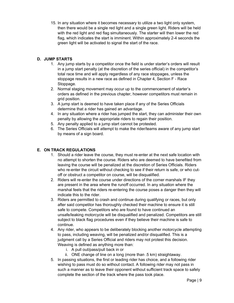15. In any situation where it becomes necessary to utilize a two light only system, then there would be a single red light and a single green light. Riders will be held with the red light and red flag simultaneously. The starter will then lower the red flag, which indicates the start is imminent. Within approximately 2-4 seconds the green light will be activated to signal the start of the race.

#### **D. JUMP STARTS**

- 1. Any jump starts by a competitor once the field is under starter's orders will result in a jump start penalty (at the discretion of the series official) in the competitor's total race time and will apply regardless of any race stoppages, unless the stoppage results in a new race as defined in Chapter 4, Section F - Race Stoppage.
- 2. Normal staging movement may occur up to the commencement of starter's orders as defined in the previous chapter, however competitors must remain in grid position.
- 3. A jump start is deemed to have taken place if any of the Series Officials determine that a rider has gained an advantage.
- 4. In any situation where a rider has jumped the start, they can administer their own penalty by allowing the appropriate riders to regain their position.
- 5. Any penalty applied to a jump start cannot be protested.
- 6. The Series Officials will attempt to make the rider/teams aware of any jump start by means of a sign board.

#### **E. ON TRACK REGULATIONS**

- 1. Should a rider leave the course, they must re-enter at the next safe location with no attempt to shorten the course. Riders who are deemed to have benefited from leaving the course will be penalized at the discretion of Series Officials. Riders who re-enter the circuit without checking to see if their return is safe, or who cutoff or obstruct a competitor on course, will be disqualified.
- 2. Riders will re-enter the course under directions of the corner marshals IF they are present in the area where the runoff occurred. In any situation where the marshal feels that the riders re-entering the course poses a danger then they will indicate this to the rider.
- 3. Riders are permitted to crash and continue during qualifying or races, but only after said competitor has thoroughly checked their machine to ensure it is still safe to compete. Competitors who are found to have continued an unsafe/leaking motorcycle will be disqualified and penalized. Competitors are still subject to black flag procedures even if they believe their machine is safe to continue.
- 4. Any rider, who appears to be deliberately blocking another motorcycle attempting to pass, including weaving, will be penalized and/or disqualified. This is a judgment call by a Series Official and riders may not protest this decision. Weaving is defined as anything more than:
	- i. A pull out/pass/pull back in or
	- ii. ONE change of line on a long (more than .5 km) straightaway.
- 5. In passing situations, the first or leading rider has choice, and a following rider wishing to pass must do so without contact. A following rider may not pass in such a manner as to leave their opponent without sufficient track space to safely complete the section of the track where the pass took place.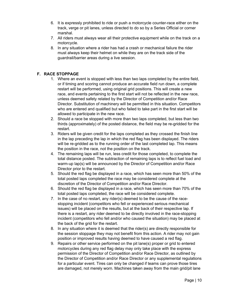- 6. It is expressly prohibited to ride or push a motorcycle counter-race either on the track, verge or pit lanes, unless directed to do so by a Series Official or corner marshal.
- 7. All riders must always wear all their protective equipment while on the track on a motorcycle.
- 8. In any situation where a rider has had a crash or mechanical failure the rider must always keep their helmet on while they are on the track side of the guardrail/barrier areas during a live session.

#### **F. RACE STOPPAGE**

- 1. Where an event is stopped with less than two laps completed by the entire field, or if timing and scoring cannot produce an accurate field run down, a complete restart will be performed, using original grid positions. This will create a new race, and events pertaining to the first start will not be reflected in the new race, unless deemed safety related by the Director of Competition and/or Race Director. Substitution of machinery will be permitted in this situation. Competitors who are entered and qualified but who failed to take part in the first start will be allowed to participate in the new race.
- 2. Should a race be stopped with more than two laps completed, but less than two thirds (approximately) of the posted distance, the field may be re-gridded for the restart.
- 3. Riders will be given credit for the laps completed as they crossed the finish line in the lap preceding the lap in which the red flag has been displayed. The riders will be re-gridded as to the running order of the last completed lap. This means the position in the race, not the position on the track.
- 4. The remaining laps will be run, less credit for those completed, to complete the total distance posted. The subtraction of remaining laps is to reflect fuel load and warm-up lap(s) will be announced by the Director of Competition and/or Race Director prior to the restart.
- 5. Should the red flag be displayed in a race, which has seen more than 50% of the total posted laps completed the race may be considered complete at the discretion of the Director of Competition and/or Race Director.
- 6. Should the red flag be displayed in a race, which has seen more than 70% of the total posted laps completed, the race will be considered complete.
- 7. In the case of no restart, any rider(s) deemed to be the cause of the racestopping incident (competitors who fell or experienced serious mechanical issues) will be placed on the results, but at the back of their respective lap. If there is a restart, any rider deemed to be directly involved in the race-stopping incident (competitors who fell and/or who caused the situation) may be placed at the back of the grid for the restart.
- 8. In any situation where it is deemed that the rider(s) are directly responsible for the session stoppage they may not benefit from this action. A rider may not gain position or improved results having deemed to have caused a red flag.
- 9. Repairs or other service performed on the pit lane(s) proper or grid to entered motorcycles during any red flag delay may only take place with the express permission of the Director of Competition and/or Race Director, as outlined by the Director of Competition and/or Race Director or any supplemental regulations for a particular event. Tires can only be changed if teams can prove those tires are damaged, not merely worn. Machines taken away from the main grid/pit lane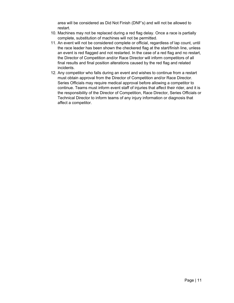area will be considered as Did Not Finish (DNF's) and will not be allowed to restart.

- 10. Machines may not be replaced during a red flag delay. Once a race is partially complete, substitution of machines will not be permitted.
- 11. An event will not be considered complete or official, regardless of lap count, until the race leader has been shown the checkered flag at the start/finish line, unless an event is red flagged and not restarted. In the case of a red flag and no restart, the Director of Competition and/or Race Director will inform competitors of all final results and final position alterations caused by the red flag and related incidents.
- 12. Any competitor who falls during an event and wishes to continue from a restart must obtain approval from the Director of Competition and/or Race Director. Series Officials may require medical approval before allowing a competitor to continue. Teams must inform event staff of injuries that affect their rider, and it is the responsibility of the Director of Competition, Race Director, Series Officials or Technical Director to inform teams of any injury information or diagnosis that affect a competitor.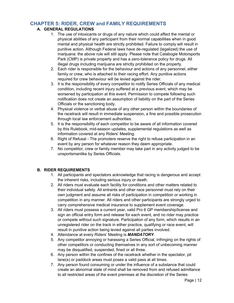### <span id="page-11-0"></span>**CHAPTER 5: RIDER, CREW and FAMILY REQUIREMENTS**

#### **A. GENERAL REGULATIONS**

- 1. The use of intoxicants or drugs of any nature which could affect the mental or physical abilities of any participant from their normal capabilities when in good mental and physical health are strictly prohibited. Failure to comply will result in punitive action. Although Federal laws have de-regulated (legalized) the use of marijuana: the above rule will still apply. Please note that Calabogie Motorsports Park (CMP) is private property and has a zero-tolerance policy for drugs. All illegal drugs including marijuana are strictly prohibited on the property.
- 2. Each rider is responsible for the behaviour and actions of any personnel, either family or crew, who is attached to their racing effort. Any punitive actions required for crew behaviour will be levied against the rider.
- 3. It is the responsibility of every competitor to notify Series Officials of any medical condition, including recent injury suffered at a previous event, which may be worsened by participation at this event. Permission to compete following such notification does not create an assumption of liability on the part of the Series Officials or the sanctioning body.
- 4. Physical violence or verbal abuse of any other person within the boundaries of the racetrack will result in immediate suspension, a fine and possible prosecution through local law enforcement authorities.
- 5. It is the responsibility of each competitor to be aware of all information covered by this Rulebook, mid-season updates, supplemental regulations as well as information covered at any Riders' Meeting.
- 6. Right of Refusal The promoters reserve the right to refuse participation in an event by any person for whatever reason they deem appropriate.
- 7. No competitor, crew or family member may take part in any activity judged to be unsportsmanlike by Series Officials.

#### **B. RIDER REQUIREMENTS**

- 1. All participants and spectators acknowledge that racing is dangerous and accept the inherent risks, including serious injury or death.
- 2. All riders must evaluate each facility for conditions and other matters related to their individual safety. All entrants and other race personnel must rely on their own judgment and assume all risks of participation in competition or working in competition in any manner. All riders and other participants are strongly urged to carry comprehensive medical insurance to supplement event coverage.
- 3. All riders must possess a current year, valid Pro 6 GP membership/license and sign an official entry form and release for each event, and no rider may practice or compete without such signature. Participation of any form, which results in an unregistered rider on the track in either practice, qualifying or race event, will result in punitive action being levied against all parties involved.
- 4. Attendance at every Riders' Meeting is *MANDATORY*.
- 5. Any competitor annoying or harassing a Series Official, infringing on the rights of other competitors or conducting themselves in any sort of unbecoming manner may be disqualified, suspended, fined or all three.
- 6. Any person within the confines of the racetrack whether in the spectator, pit lane(s) or paddock areas must poses a valid pass at all times.
- 7. Any person found consuming or under the influence of a substance that could create an abnormal state of mind shall be removed from and refused admittance to all restricted areas of the event premises at the discretion of the Series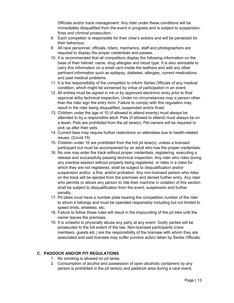Officials and/or track management. Any rider under these conditions will be immediately disqualified from the event in progress and is subject to suspension, fines and criminal prosecution.

- 8. Each competitor is responsible for their crew's actions and will be penalized for their behaviour.
- 9. All race personnel, officials, riders, mechanics, staff and photographers are required to display the proper credentials and passes.
- 10. It is recommended that all competitors display the following information on the base of their helmet: name, drug allergies and blood type. It is also advisable to carry this information on a small card inside the leathers and add any other pertinent information such as epilepsy, diabetes, allergies, current medications and past medical problems.
- 11. It is the responsibility of the competitor to inform Series Officials of any medical condition, which might be worsened by virtue of participation in an event.
- 12. All entries must be signed in ink or by approved electronic entry prior to final approval at/by technical inspection. Under no circumstances may a person other than the rider sign the entry form. Failure to comply with this regulation may result in the rider being disqualified, suspended and/or fined.
- 13. Children under the age of 10 (if allowed to attend events) must always be attended to by a responsible adult. Pets (if allowed to attend) must always be on a leash. Pets are prohibited from the pit lane(s). Pet owners will be required to pick up after their pets.
- 14. Current laws may require further restrictions on attendees due to health-related issues. (Covid-19)
- 15. Children under 16 are prohibited from the hot pit lane(s), unless a licensed participant but must be accompanied by an adult who has the proper credentials.
- 16. No one may enter the track without proper credentials, registering, executing a release and successfully passing technical inspection. Any rider who rides during any practice session without properly being registered, or rides in a class for which they are not registered, shall be subject to disqualification and/or suspension and/or, a fine, and/or probation. Any non-licensed person who rides on the track will be ejected from the premises and denied further entry. Any rider who permits or allows any person to ride their machine in violation of this section shall be subject to disqualification from the event, suspension and further penalty.
- 17. Pit bikes must have a number plate bearing the competition number of the rider to whom it belongs and must be operated responsibly including but not limited to speed limits, wheelies, etc.
- 18. Failure to follow these rules will result in the impounding of the pit bike until the owner leaves the premises.
- 19. It is unlawful to physically abuse any party at any event. Guilty parties will be prosecuted to the full extent of the law. Non-licensed participants (crew members, guests etc.) are the responsibility of the licensee with whom they are associated and said licensee may suffer punitive action taken by Series Officials.

#### **C. PADDOCK AND/OR PIT REGULATIONS**

- 1. No smoking is allowed on pit lanes.
- 2. Consumption of alcohol and possession of open alcoholic containers by any person is prohibited in the pit lane(s) and paddock area during a race event.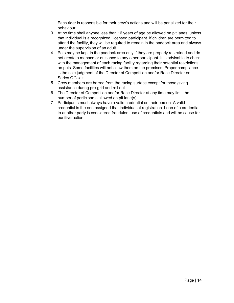Each rider is responsible for their crew's actions and will be penalized for their behaviour.

- 3. At no time shall anyone less than 16 years of age be allowed on pit lanes, unless that individual is a recognized, licensed participant. If children are permitted to attend the facility, they will be required to remain in the paddock area and always under the supervision of an adult.
- 4. Pets may be kept in the paddock area only if they are properly restrained and do not create a menace or nuisance to any other participant. It is advisable to check with the management of each racing facility regarding their potential restrictions on pets. Some facilities will not allow them on the premises. Proper compliance is the sole judgment of the Director of Competition and/or Race Director or Series Officials.
- 5. Crew members are barred from the racing surface except for those giving assistance during pre-grid and roll out.
- 6. The Director of Competition and/or Race Director at any time may limit the number of participants allowed on pit lane(s).
- 7. Participants must always have a valid credential on their person. A valid credential is the one assigned that individual at registration. Loan of a credential to another party is considered fraudulent use of credentials and will be cause for punitive action.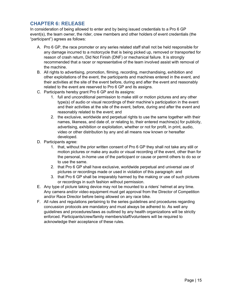### <span id="page-14-0"></span>**CHAPTER 6: RELEASE**

In consideration of being allowed to enter and by being issued credentials to a Pro 6 GP event(s), the team owner, the rider, crew members and other holders of event credentials (the "participant") agrees as follows:

- A. Pro 6 GP, the race promoter or any series related staff shall not be held responsible for any damage incurred to a motorcycle that is being picked up, removed or transported for reason of crash return, Did Not Finish (DNF) or mechanical failure. It is strongly recommended that a racer or representative of the team involved assist with removal of the machine.
- B. All rights to advertising, promotion, filming, recording, merchandising, exhibition and other exploitations of the event, the participants and machines entered in the event, and their activities at the site of the event before, during and after the event and reasonably related to the event are reserved to Pro 6 GP and its assigns.
- C. Participants hereby grant Pro 6 GP and its assigns:
	- 1. full and unconditional permission to make still or motion pictures and any other type(s) of audio or visual recordings of their machine's participation in the event and their activities at the site of the event, before, during and after the event and reasonably related to the event; and
	- 2. the exclusive, worldwide and perpetual rights to use the same together with their names, likeness, and date of, or relating to, their entered machine(s) for publicity, advertising, exhibition or exploitation, whether or not for profit, in print, audio, video or other distribution by any and all means now known or hereafter developed.
- D. Participants agree:
	- 1. that, without the prior written consent of Pro 6 GP they shall not take any still or motion pictures or make any audio or visual recording of the event, other than for the personal, in-home use of the participant or cause or permit others to do so or to use the same.
	- 2. that Pro 6 GP shall have exclusive, worldwide perpetual and universal use of pictures or recordings made or used in violation of this paragraph: and
	- 3. that Pro 6 GP shall be irreparably harmed by the making or use of such pictures or recordings in such fashion without permission.
- E. Any type of picture taking device may not be mounted to a riders' helmet at any time. Any camera and/or video equipment must get approval from the Director of Competition and/or Race Director before being allowed on any race bike.
- F. All rules and regulations pertaining to the series guidelines and procedures regarding concussion protocols are mandatory and must always be adhered to. As well any guidelines and procedures/laws as outlined by any health organizations will be strictly enforced. Participants/crew/family members/staff/volunteers will be required to acknowledge their acceptance of these rules.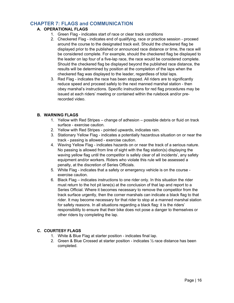### <span id="page-15-0"></span>**CHAPTER 7: FLAGS and COMMUNICATION**

#### **A. OPERATIONAL FLAGS**

- 1. Green Flag indicates start of race or clear track conditions
- 2. Checkered Flag indicates end of qualifying, race or practice session proceed around the course to the designated track exit. Should the checkered flag be displayed prior to the published or announced race distance or time, the race will be considered complete. For example, should the checkered flag be displayed to the leader on lap four of a five-lap race, the race would be considered complete. Should the checkered flag be displayed beyond the published race distance, the results will be determined by position at the completion of the laps when the checkered flag was displayed to the leader, regardless of total laps.
- 3. Red Flag indicates the race has been stopped. All riders are to significantly reduce speed and proceed safely to the next manned marshal station - then obey marshal's instructions. Specific instructions for red flag procedures may be issued at each riders' meeting or contained within the rulebook and/or prerecorded video.

#### **B. WARNING FLAGS**

- 1. Yellow with Red Stripes change of adhesion possible debris or fluid on track surface - exercise caution.
- 2. Yellow with Red Stripes pointed upwards, indicates rain.
- 3. Stationary Yellow Flag indicates a potentially hazardous situation on or near the track - passing is allowed - exercise caution.
- 4. Waving Yellow Flag indicates hazards on or near the track of a serious nature. No passing is allowed from line of sight with the flag station(s) displaying the waving yellow flag until the competitor is safely clear of all incidents', any safety equipment and/or workers. Riders who violate this rule will be assessed a penalty, at the discretion of Series Officials.
- 5. White Flag indicates that a safety or emergency vehicle is on the course exercise caution.
- 6. Black Flag indicates instructions to one rider only. In this situation the rider must return to the hot pit lane(s) at the conclusion of that lap and report to a Series Official. Where it becomes necessary to remove the competitor from the track surface urgently, then the corner marshals can indicate a black flag to that rider. It may become necessary for that rider to stop at a manned marshal station for safety reasons. In all situations regarding a black flag: it is the riders' responsibility to ensure that their bike does not pose a danger to themselves or other riders by completing the lap.

#### **C. COURTESY FLAGS**

- 1. White & Blue Flag at starter position indicates final lap.
- 2. Green & Blue Crossed at starter position indicates  $\frac{1}{2}$  race distance has been completed.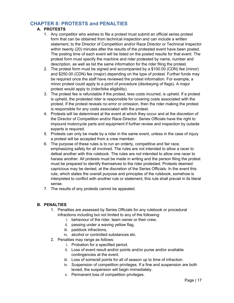### <span id="page-16-0"></span>**CHAPTER 8: PROTESTS and PENALTIES**

#### **A. PROTESTS**

- 1. Any competitor who wishes to file a protest must submit an official series protest form that can be obtained from technical inspection and can include a written statement, to the Director of Competition and/or Race Director or Technical Inspector within twenty (20) minutes after the results of the protested event have been posted. The posting time of each event will be listed on the posted results for that event. The protest form must specify the machine and rider protested by name, number and description, as well as list the same information for the rider filing the protest.
- 2. The protest form must be signed and accompanied by a \$100.00 (CDN) fee (minor) and \$250.00 (CDN) fee (major) depending on the type of protest. Further funds may be required once the staff have reviewed the protest information. For example, a minor protest could apply to a point of procedure (disobeying of flags). A major protest would apply to (rider/bike eligibility).
- 3. The protest fee is refundable if the protest, less costs incurred, is upheld. If a protest is upheld, the protested rider is responsible for covering costs associated with the protest. If the protest reveals no error or omission, then the rider making the protest is responsible for any costs associated with the protest.
- 4. Protests will be determined at the event at which they occur and at the discretion of the Director of Competition and/or Race Director. Series Officials have the right to impound motorcycle parts and equipment if further review and inspection by outside experts is required.
- 5. Protests can only be made by a rider in the same event, unless in the case of injury a protest will be accepted from a crew member.
- 6. The purpose of these rules is to run an orderly, competitive and fair race, emphasizing safety for all involved. The rules are not intended to allow a racer to defeat another with this rulebook. The rules are not intended to allow one racer to harass another. All protests must be made in writing and the person filing the protest must be prepared to identify themselves to the rider protested. Protests deemed capricious may be denied, at the discretion of the Series Officials. In the event this rule, which states the overall purpose and principles of the rulebook, somehow is interpreted to conflict with another rule or statement, this rule shall prevail in its literal sense.
- 7. The results of any protests cannot be appealed.

#### **B. PENALTIES**

- 1. Penalties are assessed by Series Officials for any rulebook or procedural infractions including but not limited to any of the following:
	- i. behaviour of the rider, team owner or their crew,
	- ii. passing under a waving yellow flag,
	- iii. paddock infractions,
	- iv. alcohol or controlled substances etc.
- 2. Penalties may range as follows:
	- i. Probation for a specified period.
	- ii. Loss of event result and/or points and/or purse and/or available contingencies at the event.
	- iii. Loss of some/all points for all of season up to time of infraction.
	- iv. Suspension of competition privileges. If a fine and suspension are both levied, the suspension will begin immediately.
	- v. Permanent loss of competition privileges.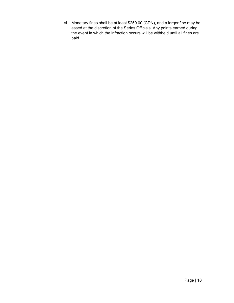vi. Monetary fines shall be at least \$250.00 (CDN), and a larger fine may be assed at the discretion of the Series Officials. Any points earned during the event in which the infraction occurs will be withheld until all fines are paid.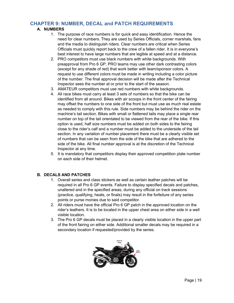### <span id="page-18-0"></span>**CHAPTER 9: NUMBER, DECAL and PATCH REQUIREMENTS**

#### **A. NUMBERS**

- 1. The purpose of race numbers is for quick and easy identification. Hence the need for clear numbers. They are used by Series Officials, corner marshals, fans and the media to distinguish riders. Clear numbers are critical when Series Officials must quickly report back to the crew of a fallen rider. It is in everyone's best interest to have large numbers that are legible at speed and at a distance.
- 2. PRO competitors must use black numbers with white backgrounds. With preapproval from Pro 6 GP, PRO teams may use other dark contrasting colors (except for any shade of red) that work better with team/sponsor colors. A request to use different colors must be made in writing including a color picture of the number. The final approval decision will be made after the Technical Inspector sees the number at or prior to the start of the season.
- 3. AMATEUR competitors must use red numbers with white backgrounds.
- 4. All race bikes must carry at least 3 sets of numbers so that the bike can be identified from all around. Bikes with air scoops in the front center of the fairing may offset the numbers to one side of the front but must use as much real estate as needed to comply with this rule. Side numbers may be behind the rider on the machine's tail section. Bikes with small or flattened tails may place a single rear number on top of the tail orientated to be viewed from the rear of the bike. If this option is used, half size numbers must be added on both sides to the fairing close to the rider's calf and a number must be added to the underside of the tail section. In any variation of number placement there must be a clearly visible set of numbers that can be seen from the side of the bike that are adhered to the side of the bike. All final number approval is at the discretion of the Technical Inspector at any time.
- 5. It is mandatory that competitors display their approved competition plate number on each side of their helmet.

#### **B. DECALS AND PATCHES**

- 1. Overall series and class stickers as well as certain leather patches will be required in all Pro 6 GP events. Failure to display specified decals and patches, unaltered and in the specified areas, during any official on track sessions (practice, qualifying, heats, or finals) may result in the forfeiture of any series points or purse monies due to said competitor.
- 2. All riders must have the official Pro 6 GP patch in the approved location on the rider's leathers. It is to be located in the upper chest area on either side in a well visible location.
- 3. The Pro 6 GP decals must be placed in a clearly visible location in the upper part of the front fairing on either side. Additional smaller decals may be required in a secondary location if requested/provided by the series.

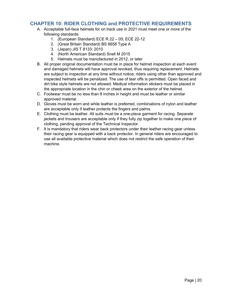### <span id="page-19-0"></span>**CHAPTER 10: RIDER CLOTHING and PROTECTIVE REQUIREMENTS**

- A. Acceptable full-face helmets for on track use in 2021 must meet one or more of the following standards:
	- 1. (European Standard) ECE R 22 05; ECE 22-12
	- 2. (Great Britain Standard) BS 6658 Type A
	- 3. (Japan) JIS T 8133: 2010
	- 4. (North American Standard) Snell M 2015
	- 5. Helmets must be manufactured in 2012, or later
- B. All proper original documentation must be in place for helmet inspection at each event and damaged helmets will have approval revoked, thus requiring replacement. Helmets are subject to inspection at any time without notice; riders using other than approved and inspected helmets will be penalized. The use of tear offs is permitted. Open faced and dirt bike style helmets are not allowed. Medical information stickers must be placed in the appropriate location in the chin or cheek area on the exterior of the helmet.
- C. Footwear must be no less than 8 inches in height and must be leather or similar approved material.
- D. Gloves must be worn and while leather is preferred, combinations of nylon and leather are acceptable only if leather protects the fingers and palms.
- E. Clothing must be leather. All suits must be a one-piece garment for racing. Separate jackets and trousers are acceptable only if they fully zip together to make one piece of clothing, pending approval of the Technical Inspector.
- F. It is mandatory that riders wear back protectors under their leather racing gear unless their racing gear is equipped with a back protector. In general riders are encouraged to use all available protective material which does not restrict the safe operation of their machine.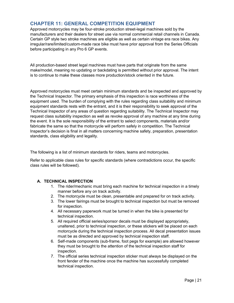### <span id="page-20-0"></span>**CHAPTER 11: GENERAL COMPETITION EQUIPMENT**

Approved motorcycles may be four-stroke production street-legal machines sold by the manufacturers and their dealers for street use via normal commercial retail channels in Canada. Certain GP style two stroke machines are eligible as well as certain vintage era race bikes. Any irregular/rare/limited/custom-made race bike must have prior approval from the Series Officials before participating in any Pro 6 GP events.

All production-based street legal machines must have parts that originate from the same make/model, meaning no updating or backdating is permitted without prior approval. The intent is to continue to make these classes more production/stock oriented in the future.

Approved motorcycles must meet certain minimum standards and be inspected and approved by the Technical Inspector. The primary emphasis of this inspection is race worthiness of the equipment used. The burden of complying with the rules regarding class suitability and minimum equipment standards rests with the entrant, and it is their responsibility to seek approval of the Technical Inspector of any areas of question regarding suitability. The Technical Inspector may request class suitability inspection as well as revoke approval of any machine at any time during the event. It is the sole responsibility of the entrant to select components, materials and/or fabricate the same so that the motorcycle will perform safely in competition. The Technical Inspector's decision is final in all matters concerning machine safety, preparation, presentation standards, class eligibility and legality.

The following is a list of minimum standards for riders, teams and motorcycles.

Refer to applicable class rules for specific standards (where contradictions occur, the specific class rules will be followed).

#### **A. TECHNICAL INSPECTION**

- 1. The rider/mechanic must bring each machine for technical inspection in a timely manner before any on track activity.
- 2. The motorcycle must be clean, presentable and prepared for on track activity.
- 3. The lower fairings must be brought to technical inspection but must be removed for inspection.
- 4. All necessary paperwork must be turned in when the bike is presented for technical inspection.
- 5. All required official series/sponsor decals must be displayed appropriately, unaltered, prior to technical inspection, or these stickers will be placed on each motorcycle during the technical inspection process. All decal presentation issues must be as directed and approved by technical inspection staff.
- 6. Self-made components (sub-frame, foot pegs for example) are allowed however they must be brought to the attention of the technical inspection staff for inspection.
- 7. The official series technical inspection sticker must always be displayed on the front fender of the machine once the machine has successfully completed technical inspection.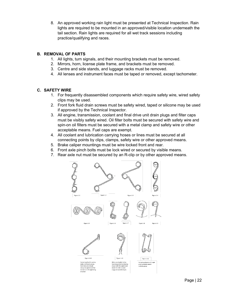8. An approved working rain light must be presented at Technical Inspection. Rain lights are required to be mounted in an approved/visible location underneath the tail section. Rain lights are required for all wet track sessions including practice/qualifying and races.

#### **B. REMOVAL OF PARTS**

- 1. All lights, turn signals, and their mounting brackets must be removed.
- 2. Mirrors, horn, license plate frame, and brackets must be removed.
- 3. Centre and side stands, and luggage racks must be removed.
- 4. All lenses and instrument faces must be taped or removed, except tachometer.

#### **C. SAFETY WIRE**

- 1. For frequently disassembled components which require safety wire, wired safety clips may be used.
- 2. Front fork fluid drain screws must be safety wired, taped or silicone may be used if approved by the Technical Inspector.
- 3. All engine, transmission, coolant and final drive unit drain plugs and filter caps must be visibly safety wired. Oil filter bolts must be secured with safety wire and spin-on oil filters must be secured with a metal clamp and safety wire or other acceptable means. Fuel caps are exempt.
- 4. All coolant and lubrication carrying hoses or lines must be secured at all connecting points by clips, clamps, safety wire or other approved means.
- 5. Brake caliper mountings must be wire locked front and rear.
- 6. Front axle pinch bolts must be lock wired or secured by visible means.
- 7. Rear axle nut must be secured by an R-clip or by other approved means.

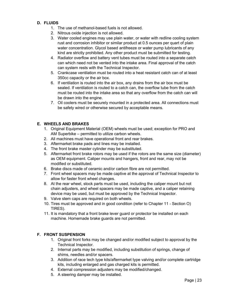#### **D. FLUIDS**

- 1. The use of methanol-based fuels is not allowed.
- 2. Nitrous oxide injection is not allowed.
- 3. Water cooled engines may use plain water, or water with redline cooling system rust and corrosion inhibitor or similar product at 0.5 ounces per quart of plain water concentration. Glycol based antifreeze or water pump lubricants of any kind are strictly prohibited. Any other product must be submitted for testing.
- 4. Radiator overflow and battery vent tubes must be routed into a separate catch can which need not be vented into the intake area. Final approval of the catch can system rests with the Technical Inspector.
- 5. Crankcase ventilation must be routed into a heat resistant catch can of at least 350cc capacity or the air box.
- 6. If ventilation is routed into the air box, any drains from the air box must be sealed. If ventilation is routed to a catch can, the overflow tube from the catch must be routed into the intake area so that any overflow from the catch can will be drawn into the engine.
- 7. Oil coolers must be securely mounted in a protected area. All connections must be safety wired or otherwise secured by acceptable means.

#### **E. WHEELS AND BRAKES**

- 1. Original Equipment Material (OEM) wheels must be used; exception for PRO and AM Superbike – permitted to utilize carbon wheels.
- 2. All machines must have operational front and rear brakes.
- 3. Aftermarket brake pads and lines may be installed.
- 4. The front brake master cylinder may be substituted.
- 5. Aftermarket front brake rotors may be used if the rotors are the same size (diameter) as OEM equipment. Caliper mounts and hangers, front and rear, may not be modified or substituted.
- 6. Brake discs made of ceramic and/or carbon fibre are not permitted.
- 7. Front wheel spacers may be made captive at the approval of Technical Inspector to allow for faster front wheel changes.
- 8. At the rear wheel, stock parts must be used, including the caliper mount but not chain adjusters, and wheel spacers may be made captive, and a caliper retaining device may be used, but must be approved by the Technical Inspector.
- 9. Valve stem caps are required on both wheels.
- 10. Tires must be approved and in good condition (refer to Chapter 11 Section O) TIRES).
- 11. It is mandatory that a front brake lever guard or protector be installed on each machine. Homemade brake guards are not permitted.

#### **F. FRONT SUSPENSION**

- 1. Original front forks may be changed and/or modified subject to approval by the Technical Inspector.
- 2. Internal parts may be modified, including substitution of springs, change of shims, needles and/or spacers.
- 3. Addition of race tech type kits/aftermarket type valving and/or complete cartridge kits, including enlarged and gas charged kits is permitted.
- 4. External compression adjusters may be modified/changed.
- 5. A steering damper may be installed.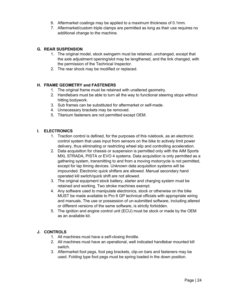- 6. Aftermarket coatings may be applied to a maximum thickness of 0.1mm.
- 7. Aftermarket/custom triple clamps are permitted as long as their use requires no additional change to the machine.

#### **G. REAR SUSPENSION**

- 1. The original model, stock swingarm must be retained, unchanged, except that the axle adjustment opening/slot may be lengthened, and the link changed, with the permission of the Technical Inspector.
- 2. The rear shock may be modified or replaced.

#### **H. FRAME GEOMETRY and FASTENERS**

- 1. The original frame must be retained with unaltered geometry.
- 2. Handlebars must be able to turn all the way to functional steering stops without hitting bodywork.
- 3. Sub frames can be substituted for aftermarket or self-made.
- 4. Unnecessary brackets may be removed.
- 5. Titanium fasteners are not permitted except OEM.

#### **I. ELECTRONICS**

- 1. Traction control is defined, for the purposes of this rulebook, as an electronic control system that uses input from sensors on the bike to actively limit power delivery, thus eliminating or restricting wheel slip and controlling acceleration.
- 2. Data acquisition for chassis or suspension is permitted only with the AiM Sports MXL STRADA, PISTA or EVO 4 systems. Data acquisition is only permitted as a gathering system, transmitting to and from a moving motorcycle is not permitted, except for lap timing devices. Unknown data acquisition systems will be impounded. Electronic quick shifters are allowed. Manual secondary hand operated kill switch/quick shift are not allowed.
- 3. The original equipment stock battery, starter and charging system must be retained and working. Two stroke machines exempt.
- 4. Any software used to manipulate electronics, stock or otherwise on the bike MUST be made available to Pro 6 GP technical officials with appropriate wiring and manuals. The use or possession of un-submitted software, including altered or different versions of the same software, is strictly forbidden.
- 5. The ignition and engine control unit (ECU) must be stock or made by the OEM as an available kit.

#### **J. CONTROLS**

- 1. All machines must have a self-closing throttle.
- 2. All machines must have an operational, well indicated handlebar mounted kill switch.
- 3. Aftermarket foot pegs, foot peg brackets, clip-on bars and fasteners may be used. Folding type foot pegs must be spring loaded in the down position.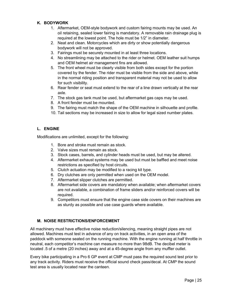#### **K. BODYWORK**

- 1. Aftermarket, OEM-style bodywork and custom fairing mounts may be used. An oil retaining, sealed lower fairing is mandatory. A removable rain drainage plug is required at the lowest point. The hole must be 1/2" in diameter.
- 2. Neat and clean. Motorcycles which are dirty or show potentially dangerous bodywork will not be approved.
- 3. Fairings must be securely mounted in at least three locations.
- 4. No streamlining may be attached to the rider or helmet. OEM leather suit humps and OEM helmet air management fins are allowed.
- 5. The front wheel must be clearly visible from both sides except for the portion covered by the fender. The rider must be visible from the side and above, while in the normal riding position and transparent material may not be used to allow for such visibility.
- 6. Rear fender or seat must extend to the rear of a line drawn vertically at the rear axle.
- 7. The stock gas tank must be used, but aftermarket gas caps may be used.
- 8. A front fender must be mounted.
- 9. The fairing must match the shape of the OEM machine in silhouette and profile.
- 10. Tail sections may be increased in size to allow for legal sized number plates.

#### **L. ENGINE**

Modifications are unlimited, except for the following:

- 1. Bore and stroke must remain as stock.
- 2. Valve sizes must remain as stock.
- 3. Stock cases, barrels, and cylinder heads must be used, but may be altered.
- 4. Aftermarket exhaust systems may be used but must be baffled and meet noise restrictions as specified by host circuits.
- 5. Clutch actuation may be modified to a racing kit type.
- 6. Dry clutches are only permitted when used on the OEM model.
- 7. Aftermarket slipper clutches are permitted.
- 8. Aftermarket side covers are mandatory when available; when aftermarket covers are not available, a combination of frame sliders and/or reinforced covers will be required.
- 9. Competitors must ensure that the engine case side covers on their machines are as sturdy as possible and use case guards where available.

#### **M. NOISE RESTRICTIONS/ENFORCEMENT**

All machinery must have effective noise reduction/silencing, meaning straight pipes are not allowed. Machines must test in advance of any on track activities, in an open area of the paddock with someone seated on the running machine. With the engine running at half throttle in neutral, each competitor's machine can measure no more than 98dB. The decibel meter is located .5 of a metre (20 inches) away and at a 45-degree angle from any muffler outlet.

Every bike participating in a Pro 6 GP event at CMP must pass the required sound test prior to any track activity. Riders must receive the official sound check pass/decal. At CMP the sound test area is usually located near the canteen.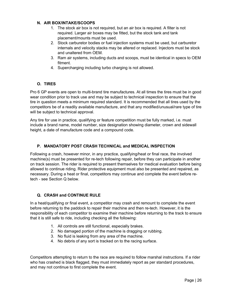#### **N. AIR BOX/INTAKE/SCOOPS**

- 1. The stock air box is not required, but an air box is required. A filter is not required. Larger air boxes may be fitted, but the stock tank and tank placement/mounts must be used.
- 2. Stock carburetor bodies or fuel injection systems must be used, but carburetor internals and velocity stacks may be altered or replaced. Injectors must be stock and unaltered from OEM.
- 3. Ram air systems, including ducts and scoops, must be identical in specs to OEM fitment.
- 4. Supercharging including turbo charging is not allowed.

#### **O. TIRES**

Pro 6 GP events are open to multi-brand tire manufactures. At all times the tires must be in good wear condition prior to track use and may be subject to technical inspection to ensure that the tire in question meets a minimum required standard. It is recommended that all tires used by the competitors be of a readily available manufacture, and that any modified/unusual/rare type of tire will be subject to technical approval.

Any tire for use in practice, qualifying or feature competition must be fully marked, i.e. must include a brand name, model number, size designation showing diameter, crown and sidewall height, a date of manufacture code and a compound code.

#### **P. MANDATORY POST CRASH TECHNICAL and MEDICAL INSPECTION**

Following a crash, however minor, in any practice, qualifying/heat or final race, the involved machine(s) must be presented for re-tech following repair, before they can participate in another on track session. The rider is required to present themselves for medical evaluation before being allowed to continue riding. Rider protective equipment must also be presented and repaired, as necessary. During a heat or final, competitors may continue and complete the event before retech - see Section Q below.

#### **Q. CRASH and CONTINUE RULE**

In a heat/qualifying or final event, a competitor may crash and remount to complete the event before returning to the paddock to repair their machine and then re-tech. However, it is the responsibility of each competitor to examine their machine before returning to the track to ensure that it is still safe to ride, including checking all the following:

- 1. All controls are still functional, especially brakes.
- 2. No damaged portion of the machine is dragging or rubbing.
- 3. No fluid is leaking from any area of the machine.
- 4. No debris of any sort is tracked on to the racing surface.

Competitors attempting to return to the race are required to follow marshal instructions. If a rider who has crashed is black flagged, they must immediately report as per standard procedures, and may not continue to first complete the event.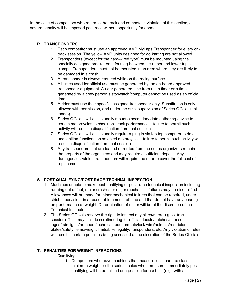In the case of competitors who return to the track and compete in violation of this section, a severe penalty will be imposed post-race without opportunity for appeal.

#### **R. TRANSPONDERS**

- 1. Each competitor must use an approved AMB MyLaps Transponder for every ontrack session. The yellow AMB units designed for go karting are not allowed.
- 2. Transponders (except for the hard-wired type) must be mounted using the specially designed bracket on a fork leg between the upper and lower triple clamps. Transponders must not be mounted in an area where they are likely to be damaged in a crash.
- 3. A transponder is always required while on the racing surface.
- 4. All times used for official use must be generated by the on-board approved transponder equipment. A rider generated time from a lap timer or a time generated by a crew person's stopwatch/computer cannot be used as an official time.
- 5. A rider must use their specific, assigned transponder only. Substitution is only allowed with permission, and under the strict supervision of Series Official in pit lane(s).
- 6. Series Officials will occasionally mount a secondary data gathering device to certain motorcycles to check on- track performance – failure to permit such activity will result in disqualification from that session.
- 7. Series Officials will occasionally require a plug in via lap top computer to data and ignition functions on selected motorcycles - failure to permit such activity will result in disqualification from that session.
- 8. Any transponders that are loaned or rented from the series organizers remain the property of the organizers and may require a sufficient deposit. Any damaged/lost/stolen transponders will require the rider to cover the full cost of replacement.

#### **S. POST QUALIFYING/POST RACE TECHNIAL INSPECTION**

- 1. Machines unable to make post qualifying or post- race technical inspection including running out of fuel, major crashes or major mechanical failures may be disqualified. Allowances will be made for minor mechanical failures that can be repaired, under strict supervision, in a reasonable amount of time and that do not have any bearing on performance or weight. Determination of minor will be at the discretion of the Technical Inspector.
- 2. The Series Officials reserve the right to inspect any bikes/rider(s) (post track session). This may include scrutineering for official decals/patches/sponsor logos/rain lights/numbers/technical requirements/lock wire/helmets/restrictor plates/safety items/weight limits/bike legality/transponders. etc. Any violation of rules will result in certain penalties being assessed at the discretion of the Series Officials.

#### **T. PENALTIES FOR WEIGHT INFRACTIONS**

- 1. Qualifying
	- i. Competitors who have machines that measure less than the class minimum weight on the series scales when measured immediately post qualifying will be penalized one position for each lb. (e.g., with a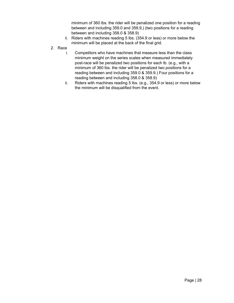minimum of 360 lbs. the rider will be penalized one position for a reading between and including 359.0 and 359.9,) (two positions for a reading between and including 358.0 & 358.9)

- ii. Riders with machines reading 5 lbs. (354.9 or less) or more below the minimum will be placed at the back of the final grid.
- 2. Race
	- i. Competitors who have machines that measure less than the class minimum weight on the series scales when measured immediately post-race will be penalized two positions for each lb. (e.g., with a minimum of 360 lbs. the rider will be penalized two positions for a reading between and including 359.0 & 359.9.) Four positions for a reading between and including 358.0 & 358.9)
	- ii. Riders with machines reading 5 lbs. (e.g., 354.9 or less) or more below the minimum will be disqualified from the event.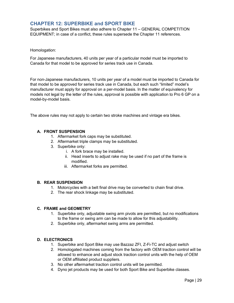### <span id="page-28-0"></span>**CHAPTER 12: SUPERBIKE and SPORT BIKE**

Superbikes and Sport Bikes must also adhere to Chapter 11 – GENERAL COMPETITION EQUIPMENT; in case of a conflict, these rules supersede the Chapter 11 references.

Homologation:

For Japanese manufacturers, 40 units per year of a particular model must be imported to Canada for that model to be approved for series track use in Canada.

For non-Japanese manufacturers, 10 units per year of a model must be imported to Canada for that model to be approved for series track use in Canada, but each such "limited" model's manufacturer must apply for approval on a per-model basis. In the matter of equivalency for models not legal by the letter of the rules, approval is possible with application to Pro 6 GP on a model-by-model basis.

The above rules may not apply to certain two stroke machines and vintage era bikes.

#### **A. FRONT SUSPENSION**

- 1. Aftermarket fork caps may be substituted.
- 2. Aftermarket triple clamps may be substituted.
- 3. Superbike only:
	- i. A fork brace may be installed.
	- ii. Head inserts to adjust rake may be used if no part of the frame is modified.
	- iii. Aftermarket forks are permitted.

#### **B. REAR SUSPENSION**

- 1. Motorcycles with a belt final drive may be converted to chain final drive.
- 2. The rear shock linkage may be substituted.

#### **C. FRAME and GEOMETRY**

- 1. Superbike only, adjustable swing arm pivots are permitted, but no modifications to the frame or swing arm can be made to allow for this adjustability.
- 2. Superbike only, aftermarket swing arms are permitted.

#### **D. ELECTRONICS**

- 1. Superbike and Sport Bike may use Bazzaz ZFI, Z-Fi-TC and adjust switch
- 2. Homologated machines coming from the factory with OEM traction control will be allowed to enhance and adjust stock traction control units with the help of OEM or OEM affiliated product suppliers.
- 3. No other aftermarket traction control units will be permitted.
- 4. Dyno jet products may be used for both Sport Bike and Superbike classes.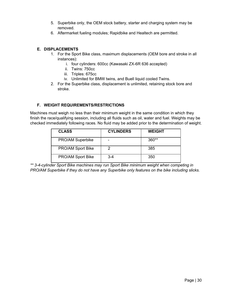- 5. Superbike only, the OEM stock battery, starter and charging system may be removed.
- 6. Aftermarket fueling modules; Rapidbike and Healtech are permitted.

#### **E. DISPLACEMENTS**

- 1. For the Sport Bike class, maximum displacements (OEM bore and stroke in all instances):
	- i. four cylinders: 600cc (Kawasaki ZX-6R 636 accepted)
	- ii. Twins: 750cc
	- iii. Triples: 675cc
	- iv. Unlimited for BMW twins, and Buell liquid cooled Twins.
- 2. For the Superbike class, displacement is unlimited, retaining stock bore and stroke.

#### **F. WEIGHT REQUIREMENTS/RESTRICTIONS**

Machines must weigh no less than their minimum weight in the same condition in which they finish the race/qualifying session, including all fluids such as oil, water and fuel. Weights may be checked immediately following races. No fluid may be added prior to the determination of weight.

| <b>CLASS</b>             | <b>CYLINDERS</b> | <b>WEIGHT</b> |
|--------------------------|------------------|---------------|
| PRO/AM Superbike         | -                | $360**$       |
| <b>PRO/AM Sport Bike</b> |                  | 385           |
| PRO/AM Sport Bike        | 3-4              | 350           |

*\*\* 3-4-cylinder Sport Bike machines may run Sport Bike minimum weight when competing in PRO/AM Superbike if they do not have any Superbike only features on the bike including slicks.*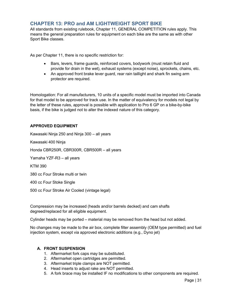### <span id="page-30-0"></span>**CHAPTER 13: PRO and AM LIGHTWEIGHT SPORT BIKE**

All standards from existing rulebook, Chapter 11, GENERAL COMPETITION rules apply. This means the general preparation rules for equipment on each bike are the same as with other Sport Bike classes.

As per Chapter 11, there is no specific restriction for:

- Bars, levers, frame guards, reinforced covers, bodywork (must retain fluid and provide for drain in the wet), exhaust systems (except noise), sprockets, chains, etc.
- An approved front brake lever guard, rear rain taillight and shark fin swing arm protector are required.

Homologation: For all manufacturers, 10 units of a specific model must be imported into Canada for that model to be approved for track use. In the matter of equivalency for models not legal by the letter of these rules, approval is possible with application to Pro 6 GP on a bike-by-bike basis, if the bike is judged not to alter the indexed nature of this category.

#### **APPROVED EQUIPMENT**

Kawasaki Ninja 250 and Ninja 300 – all years

Kawasaki 400 Ninja

Honda CBR250R, CBR300R, CBR500R – all years

Yamaha YZF-R3 – all years

KTM 390

380 cc Four Stroke multi or twin

400 cc Four Stoke Single

500 cc Four Stroke Air Cooled (vintage legal)

Compression may be increased (heads and/or barrels decked) and cam shafts degreed/replaced for all eligible equipment.

Cylinder heads may be ported – material may be removed from the head but not added.

No changes may be made to the air box, complete filter assembly (OEM type permitted) and fuel injection system, except via approved electronic additions (e.g., Dyno jet)

#### **A. FRONT SUSPENSION**

- 1. Aftermarket fork caps may be substituted.
- 2. Aftermarket open cartridges are permitted.
- 3. Aftermarket triple clamps are NOT permitted.
- 4. Head inserts to adjust rake are NOT permitted.
- 5. A fork brace may be installed IF no modifications to other components are required.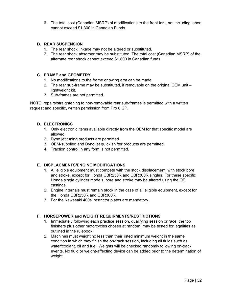6. The total cost (Canadian MSRP) of modifications to the front fork, not including labor, cannot exceed \$1,300 in Canadian Funds.

#### **B. REAR SUSPENSION**

- 1. The rear shock linkage may not be altered or substituted.
- 2. The rear shock absorber may be substituted. The total cost (Canadian MSRP) of the alternate rear shock cannot exceed \$1,800 in Canadian funds.

#### **C. FRAME and GEOMETRY**

- 1. No modifications to the frame or swing arm can be made.
- 2. The rear sub-frame may be substituted, if removable on the original OEM unit lightweight kit.
- 3. Sub-frames are not permitted.

NOTE: repairs/straightening to non-removable rear sub-frames is permitted with a written request and specific, written permission from Pro 6 GP.

#### **D. ELECTRONICS**

- 1. Only electronic items available directly from the OEM for that specific model are allowed.
- 2. Dyno jet tuning products are permitted.
- 3. OEM-supplied and Dyno jet quick shifter products are permitted.
- 4. Traction control in any form is not permitted.

#### **E. DISPLACMENTS/ENGINE MODIFICATIONS**

- 1. All eligible equipment must compete with the stock displacement, with stock bore and stroke, except for Honda CBR250R and CBR300R singles. For these specific Honda single cylinder models, bore and stroke may be altered using the OE castings.
- 2. Engine internals must remain stock in the case of all eligible equipment, except for the Honda CBR250R and CBR300R.
- 3. For the Kawasaki 400s' restrictor plates are mandatory.

#### **F. HORSEPOWER and WEIGHT REQUIRMENTS/RESTRICTIONS**

- 1. Immediately following each practice session, qualifying session or race, the top finishers plus other motorcycles chosen at random, may be tested for legalities as outlined in the rulebook.
- 2. Machines must weight no less than their listed minimum weight in the same condition in which they finish the on-track session, including all fluids such as water/coolant, oil and fuel. Weights will be checked randomly following on-track events. No fluid or weight-affecting device can be added prior to the determination of weight.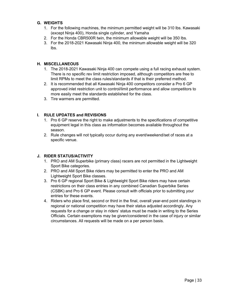#### **G. WEIGHTS**

- 1. For the following machines, the minimum permitted weight will be 310 lbs. Kawasaki (except Ninja 400), Honda single cylinder, and Yamaha
- 2. For the Honda CBR500R twin, the minimum allowable weight will be 350 lbs.
- 3. For the 2018-2021 Kawasaki Ninja 400, the minimum allowable weight will be 320 lbs.

#### **H. MISCELLANEOUS**

- 1. The 2018-2021 Kawasaki Ninja 400 can compete using a full racing exhaust system. There is no specific rev limit restriction imposed, although competitors are free to limit RPMs to meet the class rules/standards if that is their preferred method.
- 2. It is recommended that all Kawasaki Ninja 400 competitors consider a Pro 6 GP approved inlet restriction unit to control/limit performance and allow competitors to more easily meet the standards established for the class.
- 3. Tire warmers are permitted.

#### **I. RULE UPDATES and REVISIONS**

- 1. Pro 6 GP reserve the right to make adjustments to the specifications of competitive equipment legal in this class as information becomes available throughout the season.
- 2. Rule changes will not typically occur during any event/weekend/set of races at a specific venue.

#### **J. RIDER STATUS/ACTIVITY**

- 1. PRO and AM Superbike (primary class) racers are not permitted in the Lightweight Sport Bike categories.
- 2. PRO and AM Sport Bike riders may be permitted to enter the PRO and AM Lightweight Sport Bike classes.
- 3. Pro 6 GP regional Sport Bike & Lightweight Sport Bike riders may have certain restrictions on their class entries in any combined Canadian Superbike Series (CSBK) and Pro 6 GP event. Please consult with officials prior to submitting your entries for these events.
- 4. Riders who place first, second or third in the final, overall year-end point standings in regional or national competition may have their status adjusted accordingly. Any requests for a change or stay in riders' status must be made in writing to the Series Officials. Certain exemptions may be given/considered in the case of injury or similar circumstances. All requests will be made on a per person basis.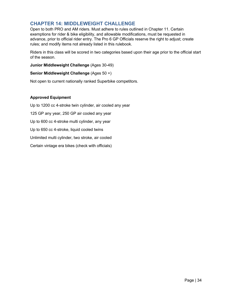### <span id="page-33-0"></span>**CHAPTER 14: MIDDLEWEIGHT CHALLENGE**

Open to both PRO and AM riders. Must adhere to rules outlined in Chapter 11. Certain exemptions for rider & bike eligibility, and allowable modifications, must be requested in advance, prior to official rider entry. The Pro 6 GP Officials reserve the right to adjust; create rules; and modify items not already listed in this rulebook.

Riders in this class will be scored in two categories based upon their age prior to the official start of the season.

**Junior Middleweight Challenge** (Ages 30-49)

#### **Senior Middleweight Challenge** (Ages 50 +)

Not open to current nationally ranked Superbike competitors.

#### **Approved Equipment**

Up to 1200 cc 4-stroke twin cylinder, air cooled any year 125 GP any year, 250 GP air cooled any year Up to 600 cc 4-stroke multi cylinder, any year Up to 650 cc 4-stroke, liquid cooled twins Unlimited multi cylinder, two stroke, air cooled Certain vintage era bikes (check with officials)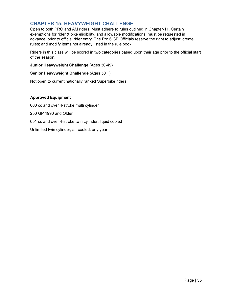### <span id="page-34-0"></span>**CHAPTER 15: HEAVYWEIGHT CHALLENGE**

Open to both PRO and AM riders. Must adhere to rules outlined in Chapter-11. Certain exemptions for rider & bike eligibility, and allowable modifications, must be requested in advance, prior to official rider entry. The Pro 6 GP Officials reserve the right to adjust; create rules; and modify items not already listed in the rule book.

Riders in this class will be scored in two categories based upon their age prior to the official start of the season.

**Junior Heavyweight Challenge** (Ages 30-49)

#### **Senior Heavyweight Challenge** (Ages 50 +)

Not open to current nationally ranked Superbike riders.

#### **Approved Equipment**

600 cc and over 4-stroke multi cylinder 250 GP 1990 and Older 651 cc and over 4-stroke twin cylinder, liquid cooled Unlimited twin cylinder, air cooled, any year